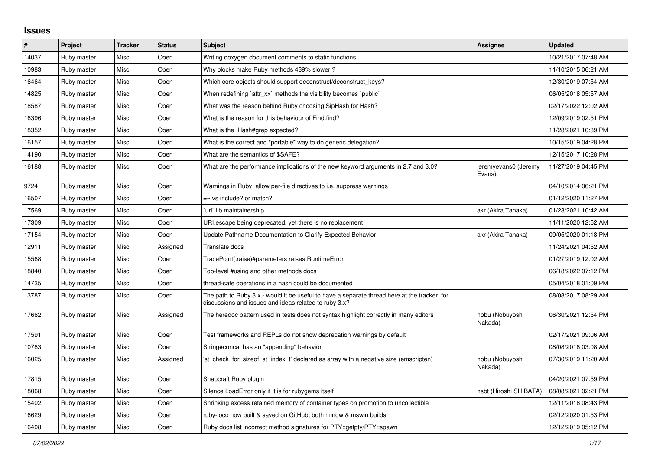## **Issues**

| $\sharp$ | Project     | <b>Tracker</b> | <b>Status</b> | <b>Subject</b>                                                                                                                                        | Assignee                       | <b>Updated</b>      |
|----------|-------------|----------------|---------------|-------------------------------------------------------------------------------------------------------------------------------------------------------|--------------------------------|---------------------|
| 14037    | Ruby master | Misc           | Open          | Writing doxygen document comments to static functions                                                                                                 |                                | 10/21/2017 07:48 AM |
| 10983    | Ruby master | Misc           | Open          | Why blocks make Ruby methods 439% slower?                                                                                                             |                                | 11/10/2015 06:21 AM |
| 16464    | Ruby master | Misc           | Open          | Which core objects should support deconstruct/deconstruct_keys?                                                                                       |                                | 12/30/2019 07:54 AM |
| 14825    | Ruby master | Misc           | Open          | When redefining `attr xx` methods the visibility becomes `public`                                                                                     |                                | 06/05/2018 05:57 AM |
| 18587    | Ruby master | Misc           | Open          | What was the reason behind Ruby choosing SipHash for Hash?                                                                                            |                                | 02/17/2022 12:02 AM |
| 16396    | Ruby master | Misc           | Open          | What is the reason for this behaviour of Find.find?                                                                                                   |                                | 12/09/2019 02:51 PM |
| 18352    | Ruby master | Misc           | Open          | What is the Hash#grep expected?                                                                                                                       |                                | 11/28/2021 10:39 PM |
| 16157    | Ruby master | Misc           | Open          | What is the correct and *portable* way to do generic delegation?                                                                                      |                                | 10/15/2019 04:28 PM |
| 14190    | Ruby master | Misc           | Open          | What are the semantics of \$SAFE?                                                                                                                     |                                | 12/15/2017 10:28 PM |
| 16188    | Ruby master | Misc           | Open          | What are the performance implications of the new keyword arguments in 2.7 and 3.0?                                                                    | jeremyevans0 (Jeremy<br>Evans) | 11/27/2019 04:45 PM |
| 9724     | Ruby master | Misc           | Open          | Warnings in Ruby: allow per-file directives to i.e. suppress warnings                                                                                 |                                | 04/10/2014 06:21 PM |
| 16507    | Ruby master | Misc           | Open          | $=$ vs include? or match?                                                                                                                             |                                | 01/12/2020 11:27 PM |
| 17569    | Ruby master | Misc           | Open          | uri`lib maintainership                                                                                                                                | akr (Akira Tanaka)             | 01/23/2021 10:42 AM |
| 17309    | Ruby master | Misc           | Open          | URI escape being deprecated, yet there is no replacement                                                                                              |                                | 11/11/2020 12:52 AM |
| 17154    | Ruby master | Misc           | Open          | Update Pathname Documentation to Clarify Expected Behavior                                                                                            | akr (Akira Tanaka)             | 09/05/2020 01:18 PM |
| 12911    | Ruby master | Misc           | Assigned      | Translate docs                                                                                                                                        |                                | 11/24/2021 04:52 AM |
| 15568    | Ruby master | Misc           | Open          | TracePoint(:raise)#parameters raises RuntimeError                                                                                                     |                                | 01/27/2019 12:02 AM |
| 18840    | Ruby master | Misc           | Open          | Top-level #using and other methods docs                                                                                                               |                                | 06/18/2022 07:12 PM |
| 14735    | Ruby master | Misc           | Open          | thread-safe operations in a hash could be documented                                                                                                  |                                | 05/04/2018 01:09 PM |
| 13787    | Ruby master | Misc           | Open          | The path to Ruby 3.x - would it be useful to have a separate thread here at the tracker, for<br>discussions and issues and ideas related to ruby 3.x? |                                | 08/08/2017 08:29 AM |
| 17662    | Ruby master | Misc           | Assigned      | The heredoc pattern used in tests does not syntax highlight correctly in many editors                                                                 | nobu (Nobuyoshi<br>Nakada)     | 06/30/2021 12:54 PM |
| 17591    | Ruby master | Misc           | Open          | Test frameworks and REPLs do not show deprecation warnings by default                                                                                 |                                | 02/17/2021 09:06 AM |
| 10783    | Ruby master | Misc           | Open          | String#concat has an "appending" behavior                                                                                                             |                                | 08/08/2018 03:08 AM |
| 16025    | Ruby master | Misc           | Assigned      | 'st check for sizeof st index t' declared as array with a negative size (emscripten)                                                                  | nobu (Nobuyoshi<br>Nakada)     | 07/30/2019 11:20 AM |
| 17815    | Ruby master | Misc           | Open          | Snapcraft Ruby plugin                                                                                                                                 |                                | 04/20/2021 07:59 PM |
| 18068    | Ruby master | Misc           | Open          | Silence LoadError only if it is for rubygems itself                                                                                                   | hsbt (Hiroshi SHIBATA)         | 08/08/2021 02:21 PM |
| 15402    | Ruby master | Misc           | Open          | Shrinking excess retained memory of container types on promotion to uncollectible                                                                     |                                | 12/11/2018 08:43 PM |
| 16629    | Ruby master | Misc           | Open          | ruby-loco now built & saved on GitHub, both mingw & mswin builds                                                                                      |                                | 02/12/2020 01:53 PM |
| 16408    | Ruby master | Misc           | Open          | Ruby docs list incorrect method signatures for PTY::getpty/PTY::spawn                                                                                 |                                | 12/12/2019 05:12 PM |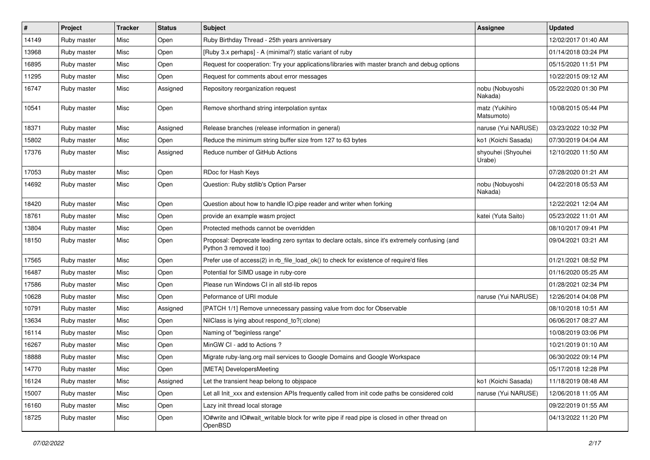| $\vert$ # | Project     | <b>Tracker</b> | <b>Status</b> | <b>Subject</b>                                                                                                             | <b>Assignee</b>              | <b>Updated</b>      |
|-----------|-------------|----------------|---------------|----------------------------------------------------------------------------------------------------------------------------|------------------------------|---------------------|
| 14149     | Ruby master | Misc           | Open          | Ruby Birthday Thread - 25th years anniversary                                                                              |                              | 12/02/2017 01:40 AM |
| 13968     | Ruby master | Misc           | Open          | [Ruby 3.x perhaps] - A (minimal?) static variant of ruby                                                                   |                              | 01/14/2018 03:24 PM |
| 16895     | Ruby master | Misc           | Open          | Request for cooperation: Try your applications/libraries with master branch and debug options                              |                              | 05/15/2020 11:51 PM |
| 11295     | Ruby master | Misc           | Open          | Request for comments about error messages                                                                                  |                              | 10/22/2015 09:12 AM |
| 16747     | Ruby master | Misc           | Assigned      | Repository reorganization request                                                                                          | nobu (Nobuyoshi<br>Nakada)   | 05/22/2020 01:30 PM |
| 10541     | Ruby master | Misc           | Open          | Remove shorthand string interpolation syntax                                                                               | matz (Yukihiro<br>Matsumoto) | 10/08/2015 05:44 PM |
| 18371     | Ruby master | Misc           | Assigned      | Release branches (release information in general)                                                                          | naruse (Yui NARUSE)          | 03/23/2022 10:32 PM |
| 15802     | Ruby master | Misc           | Open          | Reduce the minimum string buffer size from 127 to 63 bytes                                                                 | ko1 (Koichi Sasada)          | 07/30/2019 04:04 AM |
| 17376     | Ruby master | Misc           | Assigned      | Reduce number of GitHub Actions                                                                                            | shyouhei (Shyouhei<br>Urabe) | 12/10/2020 11:50 AM |
| 17053     | Ruby master | Misc           | Open          | RDoc for Hash Keys                                                                                                         |                              | 07/28/2020 01:21 AM |
| 14692     | Ruby master | Misc           | Open          | Question: Ruby stdlib's Option Parser                                                                                      | nobu (Nobuyoshi<br>Nakada)   | 04/22/2018 05:53 AM |
| 18420     | Ruby master | Misc           | Open          | Question about how to handle IO.pipe reader and writer when forking                                                        |                              | 12/22/2021 12:04 AM |
| 18761     | Ruby master | Misc           | Open          | provide an example wasm project                                                                                            | katei (Yuta Saito)           | 05/23/2022 11:01 AM |
| 13804     | Ruby master | Misc           | Open          | Protected methods cannot be overridden                                                                                     |                              | 08/10/2017 09:41 PM |
| 18150     | Ruby master | Misc           | Open          | Proposal: Deprecate leading zero syntax to declare octals, since it's extremely confusing (and<br>Python 3 removed it too) |                              | 09/04/2021 03:21 AM |
| 17565     | Ruby master | Misc           | Open          | Prefer use of access(2) in rb_file_load_ok() to check for existence of require'd files                                     |                              | 01/21/2021 08:52 PM |
| 16487     | Ruby master | Misc           | Open          | Potential for SIMD usage in ruby-core                                                                                      |                              | 01/16/2020 05:25 AM |
| 17586     | Ruby master | Misc           | Open          | Please run Windows CI in all std-lib repos                                                                                 |                              | 01/28/2021 02:34 PM |
| 10628     | Ruby master | Misc           | Open          | Peformance of URI module                                                                                                   | naruse (Yui NARUSE)          | 12/26/2014 04:08 PM |
| 10791     | Ruby master | Misc           | Assigned      | [PATCH 1/1] Remove unnecessary passing value from doc for Observable                                                       |                              | 08/10/2018 10:51 AM |
| 13634     | Ruby master | Misc           | Open          | NilClass is lying about respond_to?(:clone)                                                                                |                              | 06/06/2017 08:27 AM |
| 16114     | Ruby master | Misc           | Open          | Naming of "beginless range"                                                                                                |                              | 10/08/2019 03:06 PM |
| 16267     | Ruby master | Misc           | Open          | MinGW CI - add to Actions?                                                                                                 |                              | 10/21/2019 01:10 AM |
| 18888     | Ruby master | Misc           | Open          | Migrate ruby-lang.org mail services to Google Domains and Google Workspace                                                 |                              | 06/30/2022 09:14 PM |
| 14770     | Ruby master | Misc           | Open          | [META] DevelopersMeeting                                                                                                   |                              | 05/17/2018 12:28 PM |
| 16124     | Ruby master | Misc           | Assigned      | Let the transient heap belong to objspace                                                                                  | ko1 (Koichi Sasada)          | 11/18/2019 08:48 AM |
| 15007     | Ruby master | Misc           | Open          | Let all Init_xxx and extension APIs frequently called from init code paths be considered cold                              | naruse (Yui NARUSE)          | 12/06/2018 11:05 AM |
| 16160     | Ruby master | Misc           | Open          | Lazy init thread local storage                                                                                             |                              | 09/22/2019 01:55 AM |
| 18725     | Ruby master | Misc           | Open          | IO#write and IO#wait_writable block for write pipe if read pipe is closed in other thread on<br>OpenBSD                    |                              | 04/13/2022 11:20 PM |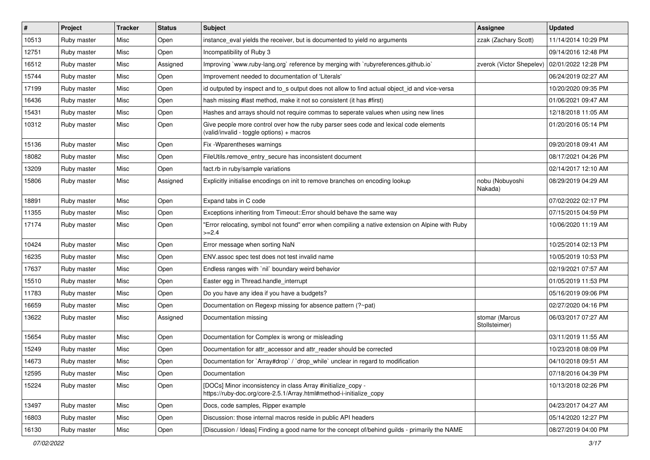| $\vert$ # | Project     | <b>Tracker</b> | <b>Status</b> | <b>Subject</b>                                                                                                                      | <b>Assignee</b>                 | <b>Updated</b>      |
|-----------|-------------|----------------|---------------|-------------------------------------------------------------------------------------------------------------------------------------|---------------------------------|---------------------|
| 10513     | Ruby master | Misc           | Open          | instance_eval yields the receiver, but is documented to yield no arguments                                                          | zzak (Zachary Scott)            | 11/14/2014 10:29 PM |
| 12751     | Ruby master | Misc           | Open          | Incompatibility of Ruby 3                                                                                                           |                                 | 09/14/2016 12:48 PM |
| 16512     | Ruby master | Misc           | Assigned      | Improving `www.ruby-lang.org` reference by merging with `rubyreferences.github.io`                                                  | zverok (Victor Shepelev)        | 02/01/2022 12:28 PM |
| 15744     | Ruby master | Misc           | Open          | Improvement needed to documentation of 'Literals'                                                                                   |                                 | 06/24/2019 02:27 AM |
| 17199     | Ruby master | Misc           | Open          | id outputed by inspect and to_s output does not allow to find actual object_id and vice-versa                                       |                                 | 10/20/2020 09:35 PM |
| 16436     | Ruby master | Misc           | Open          | hash missing #last method, make it not so consistent (it has #first)                                                                |                                 | 01/06/2021 09:47 AM |
| 15431     | Ruby master | Misc           | Open          | Hashes and arrays should not require commas to seperate values when using new lines                                                 |                                 | 12/18/2018 11:05 AM |
| 10312     | Ruby master | Misc           | Open          | Give people more control over how the ruby parser sees code and lexical code elements<br>(valid/invalid - toggle options) + macros  |                                 | 01/20/2016 05:14 PM |
| 15136     | Ruby master | Misc           | Open          | Fix - Wparentheses warnings                                                                                                         |                                 | 09/20/2018 09:41 AM |
| 18082     | Ruby master | Misc           | Open          | FileUtils.remove_entry_secure has inconsistent document                                                                             |                                 | 08/17/2021 04:26 PM |
| 13209     | Ruby master | Misc           | Open          | fact.rb in ruby/sample variations                                                                                                   |                                 | 02/14/2017 12:10 AM |
| 15806     | Ruby master | Misc           | Assigned      | Explicitly initialise encodings on init to remove branches on encoding lookup                                                       | nobu (Nobuyoshi<br>Nakada)      | 08/29/2019 04:29 AM |
| 18891     | Ruby master | Misc           | Open          | Expand tabs in C code                                                                                                               |                                 | 07/02/2022 02:17 PM |
| 11355     | Ruby master | Misc           | Open          | Exceptions inheriting from Timeout:: Error should behave the same way                                                               |                                 | 07/15/2015 04:59 PM |
| 17174     | Ruby master | Misc           | Open          | 'Error relocating, symbol not found" error when compiling a native extension on Alpine with Ruby<br>$>=2.4$                         |                                 | 10/06/2020 11:19 AM |
| 10424     | Ruby master | Misc           | Open          | Error message when sorting NaN                                                                                                      |                                 | 10/25/2014 02:13 PM |
| 16235     | Ruby master | Misc           | Open          | ENV.assoc spec test does not test invalid name                                                                                      |                                 | 10/05/2019 10:53 PM |
| 17637     | Ruby master | Misc           | Open          | Endless ranges with 'nil' boundary weird behavior                                                                                   |                                 | 02/19/2021 07:57 AM |
| 15510     | Ruby master | Misc           | Open          | Easter egg in Thread.handle_interrupt                                                                                               |                                 | 01/05/2019 11:53 PM |
| 11783     | Ruby master | Misc           | Open          | Do you have any idea if you have a budgets?                                                                                         |                                 | 05/16/2019 09:06 PM |
| 16659     | Ruby master | Misc           | Open          | Documentation on Regexp missing for absence pattern (?~pat)                                                                         |                                 | 02/27/2020 04:16 PM |
| 13622     | Ruby master | Misc           | Assigned      | Documentation missing                                                                                                               | stomar (Marcus<br>Stollsteimer) | 06/03/2017 07:27 AM |
| 15654     | Ruby master | Misc           | Open          | Documentation for Complex is wrong or misleading                                                                                    |                                 | 03/11/2019 11:55 AM |
| 15249     | Ruby master | Misc           | Open          | Documentation for attr_accessor and attr_reader should be corrected                                                                 |                                 | 10/23/2018 08:09 PM |
| 14673     | Ruby master | Misc           | Open          | Documentation for `Array#drop` / `drop_while` unclear in regard to modification                                                     |                                 | 04/10/2018 09:51 AM |
| 12595     | Ruby master | Misc           | Open          | Documentation                                                                                                                       |                                 | 07/18/2016 04:39 PM |
| 15224     | Ruby master | Misc           | Open          | [DOCs] Minor inconsistency in class Array #initialize_copy -<br>https://ruby-doc.org/core-2.5.1/Array.html#method-i-initialize_copy |                                 | 10/13/2018 02:26 PM |
| 13497     | Ruby master | Misc           | Open          | Docs, code samples, Ripper example                                                                                                  |                                 | 04/23/2017 04:27 AM |
| 16803     | Ruby master | Misc           | Open          | Discussion: those internal macros reside in public API headers                                                                      |                                 | 05/14/2020 12:27 PM |
| 16130     | Ruby master | Misc           | Open          | [Discussion / Ideas] Finding a good name for the concept of/behind guilds - primarily the NAME                                      |                                 | 08/27/2019 04:00 PM |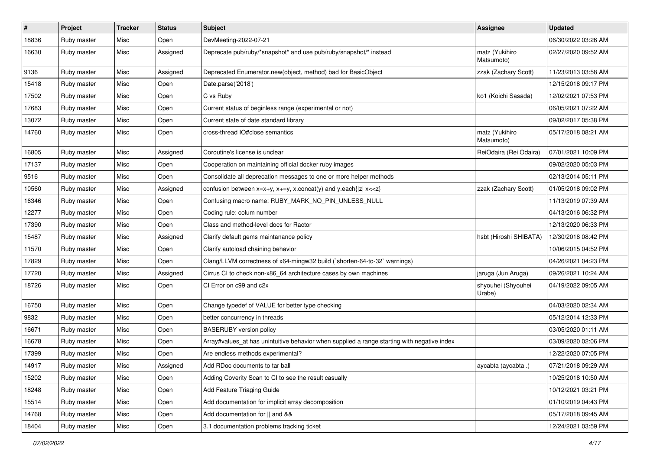| $\vert$ # | Project     | <b>Tracker</b> | <b>Status</b> | Subject                                                                                     | <b>Assignee</b>              | <b>Updated</b>      |
|-----------|-------------|----------------|---------------|---------------------------------------------------------------------------------------------|------------------------------|---------------------|
| 18836     | Ruby master | Misc           | Open          | DevMeeting-2022-07-21                                                                       |                              | 06/30/2022 03:26 AM |
| 16630     | Ruby master | Misc           | Assigned      | Deprecate pub/ruby/*snapshot* and use pub/ruby/snapshot/* instead                           | matz (Yukihiro<br>Matsumoto) | 02/27/2020 09:52 AM |
| 9136      | Ruby master | Misc           | Assigned      | Deprecated Enumerator.new(object, method) bad for BasicObject                               | zzak (Zachary Scott)         | 11/23/2013 03:58 AM |
| 15418     | Ruby master | Misc           | Open          | Date.parse('2018')                                                                          |                              | 12/15/2018 09:17 PM |
| 17502     | Ruby master | Misc           | Open          | C vs Ruby                                                                                   | ko1 (Koichi Sasada)          | 12/02/2021 07:53 PM |
| 17683     | Ruby master | Misc           | Open          | Current status of beginless range (experimental or not)                                     |                              | 06/05/2021 07:22 AM |
| 13072     | Ruby master | Misc           | Open          | Current state of date standard library                                                      |                              | 09/02/2017 05:38 PM |
| 14760     | Ruby master | Misc           | Open          | cross-thread IO#close semantics                                                             | matz (Yukihiro<br>Matsumoto) | 05/17/2018 08:21 AM |
| 16805     | Ruby master | Misc           | Assigned      | Coroutine's license is unclear                                                              | ReiOdaira (Rei Odaira)       | 07/01/2021 10:09 PM |
| 17137     | Ruby master | Misc           | Open          | Cooperation on maintaining official docker ruby images                                      |                              | 09/02/2020 05:03 PM |
| 9516      | Ruby master | Misc           | Open          | Consolidate all deprecation messages to one or more helper methods                          |                              | 02/13/2014 05:11 PM |
| 10560     | Ruby master | Misc           | Assigned      | confusion between $x=x+y$ , $x+=y$ , x.concat(y) and y.each{ z  $x<}$                       | zzak (Zachary Scott)         | 01/05/2018 09:02 PM |
| 16346     | Ruby master | Misc           | Open          | Confusing macro name: RUBY_MARK_NO_PIN_UNLESS_NULL                                          |                              | 11/13/2019 07:39 AM |
| 12277     | Ruby master | Misc           | Open          | Coding rule: colum number                                                                   |                              | 04/13/2016 06:32 PM |
| 17390     | Ruby master | Misc           | Open          | Class and method-level docs for Ractor                                                      |                              | 12/13/2020 06:33 PM |
| 15487     | Ruby master | Misc           | Assigned      | Clarify default gems maintanance policy                                                     | hsbt (Hiroshi SHIBATA)       | 12/30/2018 08:42 PM |
| 11570     | Ruby master | Misc           | Open          | Clarify autoload chaining behavior                                                          |                              | 10/06/2015 04:52 PM |
| 17829     | Ruby master | Misc           | Open          | Clang/LLVM correctness of x64-mingw32 build (`shorten-64-to-32` warnings)                   |                              | 04/26/2021 04:23 PM |
| 17720     | Ruby master | Misc           | Assigned      | Cirrus CI to check non-x86_64 architecture cases by own machines                            | jaruga (Jun Aruga)           | 09/26/2021 10:24 AM |
| 18726     | Ruby master | Misc           | Open          | CI Error on c99 and c2x                                                                     | shyouhei (Shyouhei<br>Urabe) | 04/19/2022 09:05 AM |
| 16750     | Ruby master | Misc           | Open          | Change typedef of VALUE for better type checking                                            |                              | 04/03/2020 02:34 AM |
| 9832      | Ruby master | Misc           | Open          | better concurrency in threads                                                               |                              | 05/12/2014 12:33 PM |
| 16671     | Ruby master | Misc           | Open          | <b>BASERUBY</b> version policy                                                              |                              | 03/05/2020 01:11 AM |
| 16678     | Ruby master | Misc           | Open          | Array#values_at has unintuitive behavior when supplied a range starting with negative index |                              | 03/09/2020 02:06 PM |
| 17399     | Ruby master | Misc           | Open          | Are endless methods experimental?                                                           |                              | 12/22/2020 07:05 PM |
| 14917     | Ruby master | Misc           | Assigned      | Add RDoc documents to tar ball                                                              | aycabta (aycabta .)          | 07/21/2018 09:29 AM |
| 15202     | Ruby master | Misc           | Open          | Adding Coverity Scan to CI to see the result casually                                       |                              | 10/25/2018 10:50 AM |
| 18248     | Ruby master | Misc           | Open          | Add Feature Triaging Guide                                                                  |                              | 10/12/2021 03:21 PM |
| 15514     | Ruby master | Misc           | Open          | Add documentation for implicit array decomposition                                          |                              | 01/10/2019 04:43 PM |
| 14768     | Ruby master | Misc           | Open          | Add documentation for    and &&                                                             |                              | 05/17/2018 09:45 AM |
| 18404     | Ruby master | Misc           | Open          | 3.1 documentation problems tracking ticket                                                  |                              | 12/24/2021 03:59 PM |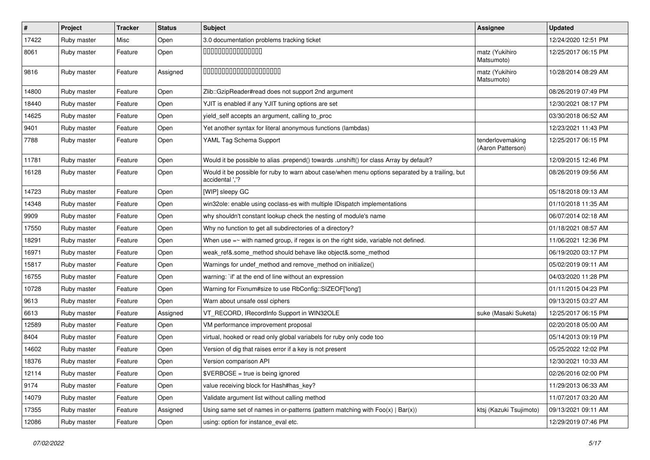| $\vert$ # | Project     | <b>Tracker</b> | <b>Status</b> | Subject                                                                                                            | Assignee                              | <b>Updated</b>      |
|-----------|-------------|----------------|---------------|--------------------------------------------------------------------------------------------------------------------|---------------------------------------|---------------------|
| 17422     | Ruby master | Misc           | Open          | 3.0 documentation problems tracking ticket                                                                         |                                       | 12/24/2020 12:51 PM |
| 8061      | Ruby master | Feature        | Open          | 000000000000000                                                                                                    | matz (Yukihiro<br>Matsumoto)          | 12/25/2017 06:15 PM |
| 9816      | Ruby master | Feature        | Assigned      | 00000000000000000000                                                                                               | matz (Yukihiro<br>Matsumoto)          | 10/28/2014 08:29 AM |
| 14800     | Ruby master | Feature        | Open          | Zlib::GzipReader#read does not support 2nd argument                                                                |                                       | 08/26/2019 07:49 PM |
| 18440     | Ruby master | Feature        | Open          | YJIT is enabled if any YJIT tuning options are set                                                                 |                                       | 12/30/2021 08:17 PM |
| 14625     | Ruby master | Feature        | Open          | yield_self accepts an argument, calling to_proc                                                                    |                                       | 03/30/2018 06:52 AM |
| 9401      | Ruby master | Feature        | Open          | Yet another syntax for literal anonymous functions (lambdas)                                                       |                                       | 12/23/2021 11:43 PM |
| 7788      | Ruby master | Feature        | Open          | YAML Tag Schema Support                                                                                            | tenderlovemaking<br>(Aaron Patterson) | 12/25/2017 06:15 PM |
| 11781     | Ruby master | Feature        | Open          | Would it be possible to alias .prepend() towards .unshift() for class Array by default?                            |                                       | 12/09/2015 12:46 PM |
| 16128     | Ruby master | Feature        | Open          | Would it be possible for ruby to warn about case/when menu options separated by a trailing, but<br>accidental ','? |                                       | 08/26/2019 09:56 AM |
| 14723     | Ruby master | Feature        | Open          | [WIP] sleepy GC                                                                                                    |                                       | 05/18/2018 09:13 AM |
| 14348     | Ruby master | Feature        | Open          | win32ole: enable using coclass-es with multiple IDispatch implementations                                          |                                       | 01/10/2018 11:35 AM |
| 9909      | Ruby master | Feature        | Open          | why shouldn't constant lookup check the nesting of module's name                                                   |                                       | 06/07/2014 02:18 AM |
| 17550     | Ruby master | Feature        | Open          | Why no function to get all subdirectories of a directory?                                                          |                                       | 01/18/2021 08:57 AM |
| 18291     | Ruby master | Feature        | Open          | When use $=\sim$ with named group, if regex is on the right side, variable not defined.                            |                                       | 11/06/2021 12:36 PM |
| 16971     | Ruby master | Feature        | Open          | weak_ref&.some_method should behave like object&.some_method                                                       |                                       | 06/19/2020 03:17 PM |
| 15817     | Ruby master | Feature        | Open          | Warnings for undef_method and remove_method on initialize()                                                        |                                       | 05/02/2019 09:11 AM |
| 16755     | Ruby master | Feature        | Open          | warning: `if' at the end of line without an expression                                                             |                                       | 04/03/2020 11:28 PM |
| 10728     | Ruby master | Feature        | Open          | Warning for Fixnum#size to use RbConfig::SIZEOF['long']                                                            |                                       | 01/11/2015 04:23 PM |
| 9613      | Ruby master | Feature        | Open          | Warn about unsafe ossl ciphers                                                                                     |                                       | 09/13/2015 03:27 AM |
| 6613      | Ruby master | Feature        | Assigned      | VT_RECORD, IRecordInfo Support in WIN32OLE                                                                         | suke (Masaki Suketa)                  | 12/25/2017 06:15 PM |
| 12589     | Ruby master | Feature        | Open          | VM performance improvement proposal                                                                                |                                       | 02/20/2018 05:00 AM |
| 8404      | Ruby master | Feature        | Open          | virtual, hooked or read only global variabels for ruby only code too                                               |                                       | 05/14/2013 09:19 PM |
| 14602     | Ruby master | Feature        | Open          | Version of dig that raises error if a key is not present                                                           |                                       | 05/25/2022 12:02 PM |
| 18376     | Ruby master | Feature        | Open          | Version comparison API                                                                                             |                                       | 12/30/2021 10:33 AM |
| 12114     | Ruby master | Feature        | Open          | \$VERBOSE = true is being ignored                                                                                  |                                       | 02/26/2016 02:00 PM |
| 9174      | Ruby master | Feature        | Open          | value receiving block for Hash#has_key?                                                                            |                                       | 11/29/2013 06:33 AM |
| 14079     | Ruby master | Feature        | Open          | Validate argument list without calling method                                                                      |                                       | 11/07/2017 03:20 AM |
| 17355     | Ruby master | Feature        | Assigned      | Using same set of names in or-patterns (pattern matching with $Foo(x)   Bar(x)$ )                                  | ktsj (Kazuki Tsujimoto)               | 09/13/2021 09:11 AM |
| 12086     | Ruby master | Feature        | Open          | using: option for instance_eval etc.                                                                               |                                       | 12/29/2019 07:46 PM |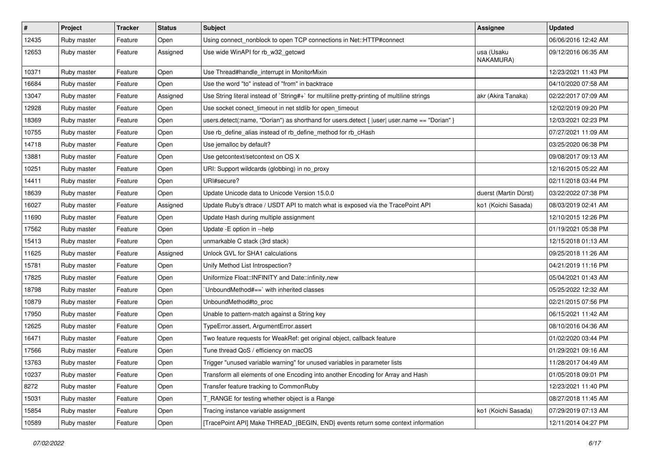| $\vert$ # | Project     | <b>Tracker</b> | <b>Status</b> | Subject                                                                                         | <b>Assignee</b>         | <b>Updated</b>      |
|-----------|-------------|----------------|---------------|-------------------------------------------------------------------------------------------------|-------------------------|---------------------|
| 12435     | Ruby master | Feature        | Open          | Using connect_nonblock to open TCP connections in Net::HTTP#connect                             |                         | 06/06/2016 12:42 AM |
| 12653     | Ruby master | Feature        | Assigned      | Use wide WinAPI for rb_w32_getcwd                                                               | usa (Usaku<br>NAKAMURA) | 09/12/2016 06:35 AM |
| 10371     | Ruby master | Feature        | Open          | Use Thread#handle_interrupt in MonitorMixin                                                     |                         | 12/23/2021 11:43 PM |
| 16684     | Ruby master | Feature        | Open          | Use the word "to" instead of "from" in backtrace                                                |                         | 04/10/2020 07:58 AM |
| 13047     | Ruby master | Feature        | Assigned      | Use String literal instead of `String#+` for multiline pretty-printing of multiline strings     | akr (Akira Tanaka)      | 02/22/2017 07:09 AM |
| 12928     | Ruby master | Feature        | Open          | Use socket conect_timeout in net stdlib for open_timeout                                        |                         | 12/02/2019 09:20 PM |
| 18369     | Ruby master | Feature        | Open          | users.detect(:name, "Dorian") as shorthand for users.detect { $ $ user  user.name == "Dorian" } |                         | 12/03/2021 02:23 PM |
| 10755     | Ruby master | Feature        | Open          | Use rb_define_alias instead of rb_define_method for rb_cHash                                    |                         | 07/27/2021 11:09 AM |
| 14718     | Ruby master | Feature        | Open          | Use jemalloc by default?                                                                        |                         | 03/25/2020 06:38 PM |
| 13881     | Ruby master | Feature        | Open          | Use getcontext/setcontext on OS X                                                               |                         | 09/08/2017 09:13 AM |
| 10251     | Ruby master | Feature        | Open          | URI: Support wildcards (globbing) in no_proxy                                                   |                         | 12/16/2015 05:22 AM |
| 14411     | Ruby master | Feature        | Open          | URI#secure?                                                                                     |                         | 02/11/2018 03:44 PM |
| 18639     | Ruby master | Feature        | Open          | Update Unicode data to Unicode Version 15.0.0                                                   | duerst (Martin Dürst)   | 03/22/2022 07:38 PM |
| 16027     | Ruby master | Feature        | Assigned      | Update Ruby's dtrace / USDT API to match what is exposed via the TracePoint API                 | ko1 (Koichi Sasada)     | 08/03/2019 02:41 AM |
| 11690     | Ruby master | Feature        | Open          | Update Hash during multiple assignment                                                          |                         | 12/10/2015 12:26 PM |
| 17562     | Ruby master | Feature        | Open          | Update - E option in --help                                                                     |                         | 01/19/2021 05:38 PM |
| 15413     | Ruby master | Feature        | Open          | unmarkable C stack (3rd stack)                                                                  |                         | 12/15/2018 01:13 AM |
| 11625     | Ruby master | Feature        | Assigned      | Unlock GVL for SHA1 calculations                                                                |                         | 09/25/2018 11:26 AM |
| 15781     | Ruby master | Feature        | Open          | Unify Method List Introspection?                                                                |                         | 04/21/2019 11:16 PM |
| 17825     | Ruby master | Feature        | Open          | Uniformize Float::INFINITY and Date::infinity.new                                               |                         | 05/04/2021 01:43 AM |
| 18798     | Ruby master | Feature        | Open          | 'UnboundMethod#==' with inherited classes                                                       |                         | 05/25/2022 12:32 AM |
| 10879     | Ruby master | Feature        | Open          | UnboundMethod#to_proc                                                                           |                         | 02/21/2015 07:56 PM |
| 17950     | Ruby master | Feature        | Open          | Unable to pattern-match against a String key                                                    |                         | 06/15/2021 11:42 AM |
| 12625     | Ruby master | Feature        | Open          | TypeError.assert, ArgumentError.assert                                                          |                         | 08/10/2016 04:36 AM |
| 16471     | Ruby master | Feature        | Open          | Two feature requests for WeakRef: get original object, callback feature                         |                         | 01/02/2020 03:44 PM |
| 17566     | Ruby master | Feature        | Open          | Tune thread QoS / efficiency on macOS                                                           |                         | 01/29/2021 09:16 AM |
| 13763     | Ruby master | Feature        | Open          | Trigger "unused variable warning" for unused variables in parameter lists                       |                         | 11/28/2017 04:49 AM |
| 10237     | Ruby master | Feature        | Open          | Transform all elements of one Encoding into another Encoding for Array and Hash                 |                         | 01/05/2018 09:01 PM |
| 8272      | Ruby master | Feature        | Open          | Transfer feature tracking to CommonRuby                                                         |                         | 12/23/2021 11:40 PM |
| 15031     | Ruby master | Feature        | Open          | T_RANGE for testing whether object is a Range                                                   |                         | 08/27/2018 11:45 AM |
| 15854     | Ruby master | Feature        | Open          | Tracing instance variable assignment                                                            | ko1 (Koichi Sasada)     | 07/29/2019 07:13 AM |
| 10589     | Ruby master | Feature        | Open          | [TracePoint API] Make THREAD_{BEGIN, END} events return some context information                |                         | 12/11/2014 04:27 PM |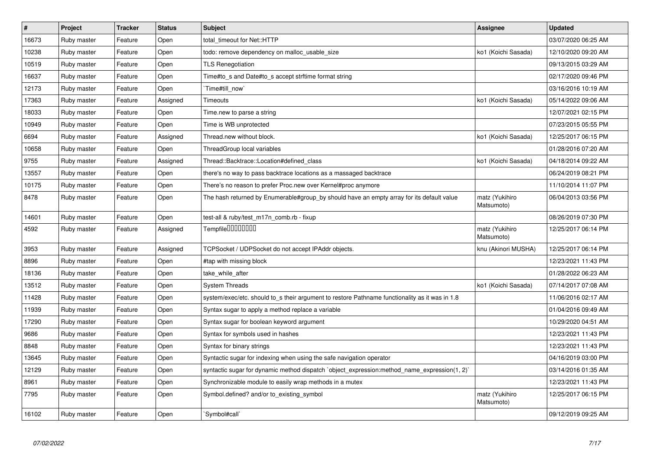| $\pmb{\#}$ | <b>Project</b> | <b>Tracker</b> | <b>Status</b> | <b>Subject</b>                                                                                 | <b>Assignee</b>              | <b>Updated</b>      |
|------------|----------------|----------------|---------------|------------------------------------------------------------------------------------------------|------------------------------|---------------------|
| 16673      | Ruby master    | Feature        | Open          | total_timeout for Net::HTTP                                                                    |                              | 03/07/2020 06:25 AM |
| 10238      | Ruby master    | Feature        | Open          | todo: remove dependency on malloc usable size                                                  | ko1 (Koichi Sasada)          | 12/10/2020 09:20 AM |
| 10519      | Ruby master    | Feature        | Open          | <b>TLS Renegotiation</b>                                                                       |                              | 09/13/2015 03:29 AM |
| 16637      | Ruby master    | Feature        | Open          | Time#to s and Date#to s accept strftime format string                                          |                              | 02/17/2020 09:46 PM |
| 12173      | Ruby master    | Feature        | Open          | Time#till_now                                                                                  |                              | 03/16/2016 10:19 AM |
| 17363      | Ruby master    | Feature        | Assigned      | Timeouts                                                                                       | ko1 (Koichi Sasada)          | 05/14/2022 09:06 AM |
| 18033      | Ruby master    | Feature        | Open          | Time.new to parse a string                                                                     |                              | 12/07/2021 02:15 PM |
| 10949      | Ruby master    | Feature        | Open          | Time is WB unprotected                                                                         |                              | 07/23/2015 05:55 PM |
| 6694       | Ruby master    | Feature        | Assigned      | Thread.new without block.                                                                      | ko1 (Koichi Sasada)          | 12/25/2017 06:15 PM |
| 10658      | Ruby master    | Feature        | Open          | ThreadGroup local variables                                                                    |                              | 01/28/2016 07:20 AM |
| 9755       | Ruby master    | Feature        | Assigned      | Thread::Backtrace::Location#defined class                                                      | ko1 (Koichi Sasada)          | 04/18/2014 09:22 AM |
| 13557      | Ruby master    | Feature        | Open          | there's no way to pass backtrace locations as a massaged backtrace                             |                              | 06/24/2019 08:21 PM |
| 10175      | Ruby master    | Feature        | Open          | There's no reason to prefer Proc.new over Kernel#proc anymore                                  |                              | 11/10/2014 11:07 PM |
| 8478       | Ruby master    | Feature        | Open          | The hash returned by Enumerable#group_by should have an empty array for its default value      | matz (Yukihiro<br>Matsumoto) | 06/04/2013 03:56 PM |
| 14601      | Ruby master    | Feature        | Open          | test-all & ruby/test_m17n_comb.rb - fixup                                                      |                              | 08/26/2019 07:30 PM |
| 4592       | Ruby master    | Feature        | Assigned      | Tempfile0000000                                                                                | matz (Yukihiro<br>Matsumoto) | 12/25/2017 06:14 PM |
| 3953       | Ruby master    | Feature        | Assigned      | TCPSocket / UDPSocket do not accept IPAddr objects.                                            | knu (Akinori MUSHA)          | 12/25/2017 06:14 PM |
| 8896       | Ruby master    | Feature        | Open          | #tap with missing block                                                                        |                              | 12/23/2021 11:43 PM |
| 18136      | Ruby master    | Feature        | Open          | take_while_after                                                                               |                              | 01/28/2022 06:23 AM |
| 13512      | Ruby master    | Feature        | Open          | <b>System Threads</b>                                                                          | ko1 (Koichi Sasada)          | 07/14/2017 07:08 AM |
| 11428      | Ruby master    | Feature        | Open          | system/exec/etc. should to_s their argument to restore Pathname functionality as it was in 1.8 |                              | 11/06/2016 02:17 AM |
| 11939      | Ruby master    | Feature        | Open          | Syntax sugar to apply a method replace a variable                                              |                              | 01/04/2016 09:49 AM |
| 17290      | Ruby master    | Feature        | Open          | Syntax sugar for boolean keyword argument                                                      |                              | 10/29/2020 04:51 AM |
| 9686       | Ruby master    | Feature        | Open          | Syntax for symbols used in hashes                                                              |                              | 12/23/2021 11:43 PM |
| 8848       | Ruby master    | Feature        | Open          | Syntax for binary strings                                                                      |                              | 12/23/2021 11:43 PM |
| 13645      | Ruby master    | Feature        | Open          | Syntactic sugar for indexing when using the safe navigation operator                           |                              | 04/16/2019 03:00 PM |
| 12129      | Ruby master    | Feature        | Open          | syntactic sugar for dynamic method dispatch `object_expression:method_name_expression(1, 2)`   |                              | 03/14/2016 01:35 AM |
| 8961       | Ruby master    | Feature        | Open          | Synchronizable module to easily wrap methods in a mutex                                        |                              | 12/23/2021 11:43 PM |
| 7795       | Ruby master    | Feature        | Open          | Symbol.defined? and/or to existing symbol                                                      | matz (Yukihiro<br>Matsumoto) | 12/25/2017 06:15 PM |
| 16102      | Ruby master    | Feature        | Open          | Symbol#call`                                                                                   |                              | 09/12/2019 09:25 AM |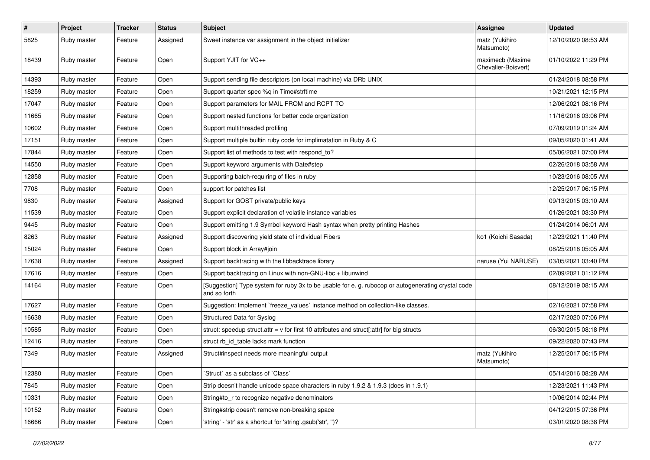| $\sharp$ | Project     | <b>Tracker</b> | <b>Status</b> | <b>Subject</b>                                                                                                     | <b>Assignee</b>                         | <b>Updated</b>      |
|----------|-------------|----------------|---------------|--------------------------------------------------------------------------------------------------------------------|-----------------------------------------|---------------------|
| 5825     | Ruby master | Feature        | Assigned      | Sweet instance var assignment in the object initializer                                                            | matz (Yukihiro<br>Matsumoto)            | 12/10/2020 08:53 AM |
| 18439    | Ruby master | Feature        | Open          | Support YJIT for VC++                                                                                              | maximecb (Maxime<br>Chevalier-Boisvert) | 01/10/2022 11:29 PM |
| 14393    | Ruby master | Feature        | Open          | Support sending file descriptors (on local machine) via DRb UNIX                                                   |                                         | 01/24/2018 08:58 PM |
| 18259    | Ruby master | Feature        | Open          | Support quarter spec %q in Time#strftime                                                                           |                                         | 10/21/2021 12:15 PM |
| 17047    | Ruby master | Feature        | Open          | Support parameters for MAIL FROM and RCPT TO                                                                       |                                         | 12/06/2021 08:16 PM |
| 11665    | Ruby master | Feature        | Open          | Support nested functions for better code organization                                                              |                                         | 11/16/2016 03:06 PM |
| 10602    | Ruby master | Feature        | Open          | Support multithreaded profiling                                                                                    |                                         | 07/09/2019 01:24 AM |
| 17151    | Ruby master | Feature        | Open          | Support multiple builtin ruby code for implimatation in Ruby & C                                                   |                                         | 09/05/2020 01:41 AM |
| 17844    | Ruby master | Feature        | Open          | Support list of methods to test with respond to?                                                                   |                                         | 05/06/2021 07:00 PM |
| 14550    | Ruby master | Feature        | Open          | Support keyword arguments with Date#step                                                                           |                                         | 02/26/2018 03:58 AM |
| 12858    | Ruby master | Feature        | Open          | Supporting batch-requiring of files in ruby                                                                        |                                         | 10/23/2016 08:05 AM |
| 7708     | Ruby master | Feature        | Open          | support for patches list                                                                                           |                                         | 12/25/2017 06:15 PM |
| 9830     | Ruby master | Feature        | Assigned      | Support for GOST private/public keys                                                                               |                                         | 09/13/2015 03:10 AM |
| 11539    | Ruby master | Feature        | Open          | Support explicit declaration of volatile instance variables                                                        |                                         | 01/26/2021 03:30 PM |
| 9445     | Ruby master | Feature        | Open          | Support emitting 1.9 Symbol keyword Hash syntax when pretty printing Hashes                                        |                                         | 01/24/2014 06:01 AM |
| 8263     | Ruby master | Feature        | Assigned      | Support discovering yield state of individual Fibers                                                               | ko1 (Koichi Sasada)                     | 12/23/2021 11:40 PM |
| 15024    | Ruby master | Feature        | Open          | Support block in Array#join                                                                                        |                                         | 08/25/2018 05:05 AM |
| 17638    | Ruby master | Feature        | Assigned      | Support backtracing with the libbacktrace library                                                                  | naruse (Yui NARUSE)                     | 03/05/2021 03:40 PM |
| 17616    | Ruby master | Feature        | Open          | Support backtracing on Linux with non-GNU-libc + libunwind                                                         |                                         | 02/09/2021 01:12 PM |
| 14164    | Ruby master | Feature        | Open          | [Suggestion] Type system for ruby 3x to be usable for e. g. rubocop or autogenerating crystal code<br>and so forth |                                         | 08/12/2019 08:15 AM |
| 17627    | Ruby master | Feature        | Open          | Suggestion: Implement `freeze_values` instance method on collection-like classes.                                  |                                         | 02/16/2021 07:58 PM |
| 16638    | Ruby master | Feature        | Open          | Structured Data for Syslog                                                                                         |                                         | 02/17/2020 07:06 PM |
| 10585    | Ruby master | Feature        | Open          | struct: speedup struct.attr = $v$ for first 10 attributes and struct[:attr] for big structs                        |                                         | 06/30/2015 08:18 PM |
| 12416    | Ruby master | Feature        | Open          | struct rb_id_table lacks mark function                                                                             |                                         | 09/22/2020 07:43 PM |
| 7349     | Ruby master | Feature        | Assigned      | Struct#inspect needs more meaningful output                                                                        | matz (Yukihiro<br>Matsumoto)            | 12/25/2017 06:15 PM |
| 12380    | Ruby master | Feature        | Open          | Struct` as a subclass of `Class`                                                                                   |                                         | 05/14/2016 08:28 AM |
| 7845     | Ruby master | Feature        | Open          | Strip doesn't handle unicode space characters in ruby 1.9.2 & 1.9.3 (does in 1.9.1)                                |                                         | 12/23/2021 11:43 PM |
| 10331    | Ruby master | Feature        | Open          | String#to r to recognize negative denominators                                                                     |                                         | 10/06/2014 02:44 PM |
| 10152    | Ruby master | Feature        | Open          | String#strip doesn't remove non-breaking space                                                                     |                                         | 04/12/2015 07:36 PM |
| 16666    | Ruby master | Feature        | Open          | 'string' - 'str' as a shortcut for 'string'.gsub('str', ")?                                                        |                                         | 03/01/2020 08:38 PM |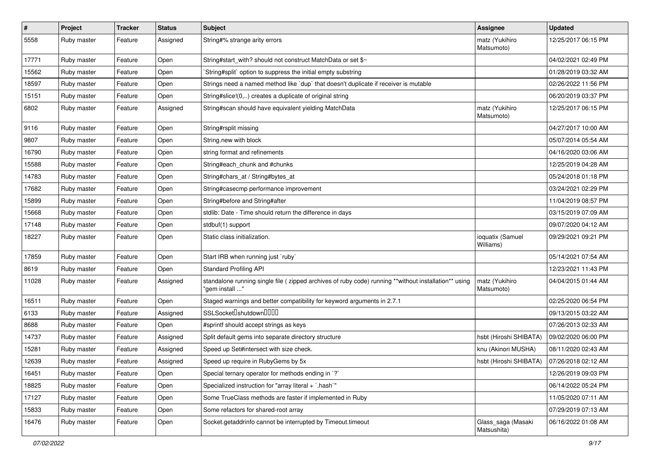| $\vert$ # | Project     | <b>Tracker</b> | <b>Status</b> | Subject                                                                                                                 | <b>Assignee</b>                   | <b>Updated</b>      |
|-----------|-------------|----------------|---------------|-------------------------------------------------------------------------------------------------------------------------|-----------------------------------|---------------------|
| 5558      | Ruby master | Feature        | Assigned      | String#% strange arity errors                                                                                           | matz (Yukihiro<br>Matsumoto)      | 12/25/2017 06:15 PM |
| 17771     | Ruby master | Feature        | Open          | String#start with? should not construct MatchData or set \$~                                                            |                                   | 04/02/2021 02:49 PM |
| 15562     | Ruby master | Feature        | Open          | `String#split` option to suppress the initial empty substring                                                           |                                   | 01/28/2019 03:32 AM |
| 18597     | Ruby master | Feature        | Open          | Strings need a named method like 'dup' that doesn't duplicate if receiver is mutable                                    |                                   | 02/26/2022 11:56 PM |
| 15151     | Ruby master | Feature        | Open          | String#slice!(0,) creates a duplicate of original string                                                                |                                   | 06/20/2019 03:37 PM |
| 6802      | Ruby master | Feature        | Assigned      | String#scan should have equivalent yielding MatchData                                                                   | matz (Yukihiro<br>Matsumoto)      | 12/25/2017 06:15 PM |
| 9116      | Ruby master | Feature        | Open          | String#rsplit missing                                                                                                   |                                   | 04/27/2017 10:00 AM |
| 9807      | Ruby master | Feature        | Open          | String.new with block                                                                                                   |                                   | 05/07/2014 05:54 AM |
| 16790     | Ruby master | Feature        | Open          | string format and refinements                                                                                           |                                   | 04/16/2020 03:06 AM |
| 15588     | Ruby master | Feature        | Open          | String#each_chunk and #chunks                                                                                           |                                   | 12/25/2019 04:28 AM |
| 14783     | Ruby master | Feature        | Open          | String#chars_at / String#bytes_at                                                                                       |                                   | 05/24/2018 01:18 PM |
| 17682     | Ruby master | Feature        | Open          | String#casecmp performance improvement                                                                                  |                                   | 03/24/2021 02:29 PM |
| 15899     | Ruby master | Feature        | Open          | String#before and String#after                                                                                          |                                   | 11/04/2019 08:57 PM |
| 15668     | Ruby master | Feature        | Open          | stdlib: Date - Time should return the difference in days                                                                |                                   | 03/15/2019 07:09 AM |
| 17148     | Ruby master | Feature        | Open          | stdbuf(1) support                                                                                                       |                                   | 09/07/2020 04:12 AM |
| 18227     | Ruby master | Feature        | Open          | Static class initialization.                                                                                            | ioquatix (Samuel<br>Williams)     | 09/29/2021 09:21 PM |
| 17859     | Ruby master | Feature        | Open          | Start IRB when running just `ruby`                                                                                      |                                   | 05/14/2021 07:54 AM |
| 8619      | Ruby master | Feature        | Open          | <b>Standard Profiling API</b>                                                                                           |                                   | 12/23/2021 11:43 PM |
| 11028     | Ruby master | Feature        | Assigned      | standalone running single file ( zipped archives of ruby code) running **without installation** using<br>"gem install " | matz (Yukihiro<br>Matsumoto)      | 04/04/2015 01:44 AM |
| 16511     | Ruby master | Feature        | Open          | Staged warnings and better compatibility for keyword arguments in 2.7.1                                                 |                                   | 02/25/2020 06:54 PM |
| 6133      | Ruby master | Feature        | Assigned      | SSLSocket <sup>[</sup> shutdown <sup>[11]</sup>                                                                         |                                   | 09/13/2015 03:22 AM |
| 8688      | Ruby master | Feature        | Open          | #sprintf should accept strings as keys                                                                                  |                                   | 07/26/2013 02:33 AM |
| 14737     | Ruby master | Feature        | Assigned      | Split default gems into separate directory structure                                                                    | hsbt (Hiroshi SHIBATA)            | 09/02/2020 06:00 PM |
| 15281     | Ruby master | Feature        | Assigned      | Speed up Set#intersect with size check.                                                                                 | knu (Akinori MUSHA)               | 08/11/2020 02:43 AM |
| 12639     | Ruby master | Feature        | Assigned      | Speed up require in RubyGems by 5x                                                                                      | hsbt (Hiroshi SHIBATA)            | 07/26/2018 02:12 AM |
| 16451     | Ruby master | Feature        | Open          | Special ternary operator for methods ending in `?`                                                                      |                                   | 12/26/2019 09:03 PM |
| 18825     | Ruby master | Feature        | Open          | Specialized instruction for "array literal + `.hash`"                                                                   |                                   | 06/14/2022 05:24 PM |
| 17127     | Ruby master | Feature        | Open          | Some TrueClass methods are faster if implemented in Ruby                                                                |                                   | 11/05/2020 07:11 AM |
| 15833     | Ruby master | Feature        | Open          | Some refactors for shared-root array                                                                                    |                                   | 07/29/2019 07:13 AM |
| 16476     | Ruby master | Feature        | Open          | Socket.getaddrinfo cannot be interrupted by Timeout.timeout                                                             | Glass_saga (Masaki<br>Matsushita) | 06/16/2022 01:08 AM |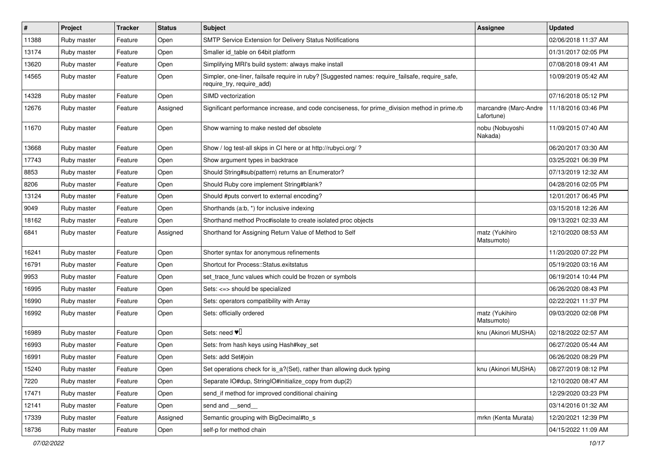| $\sharp$ | Project     | <b>Tracker</b> | <b>Status</b> | <b>Subject</b>                                                                                                               | <b>Assignee</b>                     | <b>Updated</b>      |
|----------|-------------|----------------|---------------|------------------------------------------------------------------------------------------------------------------------------|-------------------------------------|---------------------|
| 11388    | Ruby master | Feature        | Open          | SMTP Service Extension for Delivery Status Notifications                                                                     |                                     | 02/06/2018 11:37 AM |
| 13174    | Ruby master | Feature        | Open          | Smaller id table on 64bit platform                                                                                           |                                     | 01/31/2017 02:05 PM |
| 13620    | Ruby master | Feature        | Open          | Simplifying MRI's build system: always make install                                                                          |                                     | 07/08/2018 09:41 AM |
| 14565    | Ruby master | Feature        | Open          | Simpler, one-liner, failsafe require in ruby? [Suggested names: require_failsafe, require_safe,<br>require_try, require_add) |                                     | 10/09/2019 05:42 AM |
| 14328    | Ruby master | Feature        | Open          | SIMD vectorization                                                                                                           |                                     | 07/16/2018 05:12 PM |
| 12676    | Ruby master | Feature        | Assigned      | Significant performance increase, and code conciseness, for prime_division method in prime.rb                                | marcandre (Marc-Andre<br>Lafortune) | 11/18/2016 03:46 PM |
| 11670    | Ruby master | Feature        | Open          | Show warning to make nested def obsolete                                                                                     | nobu (Nobuyoshi<br>Nakada)          | 11/09/2015 07:40 AM |
| 13668    | Ruby master | Feature        | Open          | Show / log test-all skips in CI here or at http://rubyci.org/ ?                                                              |                                     | 06/20/2017 03:30 AM |
| 17743    | Ruby master | Feature        | Open          | Show argument types in backtrace                                                                                             |                                     | 03/25/2021 06:39 PM |
| 8853     | Ruby master | Feature        | Open          | Should String#sub(pattern) returns an Enumerator?                                                                            |                                     | 07/13/2019 12:32 AM |
| 8206     | Ruby master | Feature        | Open          | Should Ruby core implement String#blank?                                                                                     |                                     | 04/28/2016 02:05 PM |
| 13124    | Ruby master | Feature        | Open          | Should #puts convert to external encoding?                                                                                   |                                     | 12/01/2017 06:45 PM |
| 9049     | Ruby master | Feature        | Open          | Shorthands (a:b, *) for inclusive indexing                                                                                   |                                     | 03/15/2018 12:26 AM |
| 18162    | Ruby master | Feature        | Open          | Shorthand method Proc#isolate to create isolated proc objects                                                                |                                     | 09/13/2021 02:33 AM |
| 6841     | Ruby master | Feature        | Assigned      | Shorthand for Assigning Return Value of Method to Self                                                                       | matz (Yukihiro<br>Matsumoto)        | 12/10/2020 08:53 AM |
| 16241    | Ruby master | Feature        | Open          | Shorter syntax for anonymous refinements                                                                                     |                                     | 11/20/2020 07:22 PM |
| 16791    | Ruby master | Feature        | Open          | Shortcut for Process::Status.exitstatus                                                                                      |                                     | 05/19/2020 03:16 AM |
| 9953     | Ruby master | Feature        | Open          | set_trace_func values which could be frozen or symbols                                                                       |                                     | 06/19/2014 10:44 PM |
| 16995    | Ruby master | Feature        | Open          | Sets: <=> should be specialized                                                                                              |                                     | 06/26/2020 08:43 PM |
| 16990    | Ruby master | Feature        | Open          | Sets: operators compatibility with Array                                                                                     |                                     | 02/22/2021 11:37 PM |
| 16992    | Ruby master | Feature        | Open          | Sets: officially ordered                                                                                                     | matz (Yukihiro<br>Matsumoto)        | 09/03/2020 02:08 PM |
| 16989    | Ruby master | Feature        | Open          | Sets: need $\Psi$ <sup>[]</sup>                                                                                              | knu (Akinori MUSHA)                 | 02/18/2022 02:57 AM |
| 16993    | Ruby master | Feature        | Open          | Sets: from hash keys using Hash#key_set                                                                                      |                                     | 06/27/2020 05:44 AM |
| 16991    | Ruby master | Feature        | Open          | Sets: add Set#join                                                                                                           |                                     | 06/26/2020 08:29 PM |
| 15240    | Ruby master | Feature        | Open          | Set operations check for is_a?(Set), rather than allowing duck typing                                                        | knu (Akinori MUSHA)                 | 08/27/2019 08:12 PM |
| 7220     | Ruby master | Feature        | Open          | Separate IO#dup, StringIO#initialize_copy from dup(2)                                                                        |                                     | 12/10/2020 08:47 AM |
| 17471    | Ruby master | Feature        | Open          | send_if method for improved conditional chaining                                                                             |                                     | 12/29/2020 03:23 PM |
| 12141    | Ruby master | Feature        | Open          | send and __send__                                                                                                            |                                     | 03/14/2016 01:32 AM |
| 17339    | Ruby master | Feature        | Assigned      | Semantic grouping with BigDecimal#to_s                                                                                       | mrkn (Kenta Murata)                 | 12/20/2021 12:39 PM |
| 18736    | Ruby master | Feature        | Open          | self-p for method chain                                                                                                      |                                     | 04/15/2022 11:09 AM |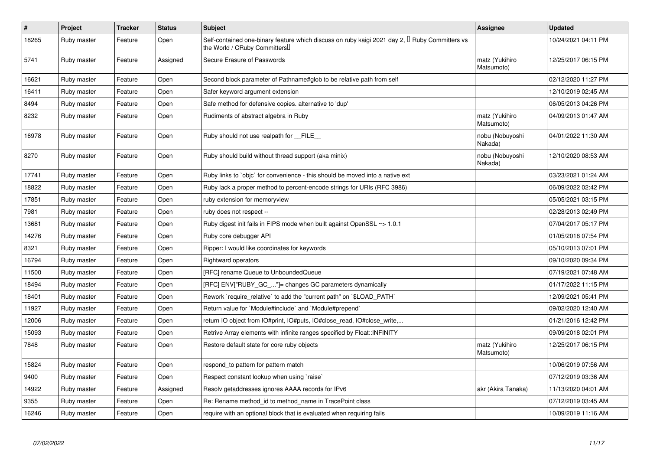| $\pmb{\#}$ | Project     | <b>Tracker</b> | <b>Status</b> | <b>Subject</b>                                                                                                                      | Assignee                     | <b>Updated</b>      |
|------------|-------------|----------------|---------------|-------------------------------------------------------------------------------------------------------------------------------------|------------------------------|---------------------|
| 18265      | Ruby master | Feature        | Open          | Self-contained one-binary feature which discuss on ruby kaigi 2021 day 2, $\Box$ Ruby Committers vs<br>the World / CRuby Committers |                              | 10/24/2021 04:11 PM |
| 5741       | Ruby master | Feature        | Assigned      | Secure Erasure of Passwords                                                                                                         | matz (Yukihiro<br>Matsumoto) | 12/25/2017 06:15 PM |
| 16621      | Ruby master | Feature        | Open          | Second block parameter of Pathname#glob to be relative path from self                                                               |                              | 02/12/2020 11:27 PM |
| 16411      | Ruby master | Feature        | Open          | Safer keyword argument extension                                                                                                    |                              | 12/10/2019 02:45 AM |
| 8494       | Ruby master | Feature        | Open          | Safe method for defensive copies. alternative to 'dup'                                                                              |                              | 06/05/2013 04:26 PM |
| 8232       | Ruby master | Feature        | Open          | Rudiments of abstract algebra in Ruby                                                                                               | matz (Yukihiro<br>Matsumoto) | 04/09/2013 01:47 AM |
| 16978      | Ruby master | Feature        | Open          | Ruby should not use realpath for __FILE__                                                                                           | nobu (Nobuyoshi<br>Nakada)   | 04/01/2022 11:30 AM |
| 8270       | Ruby master | Feature        | Open          | Ruby should build without thread support (aka minix)                                                                                | nobu (Nobuyoshi<br>Nakada)   | 12/10/2020 08:53 AM |
| 17741      | Ruby master | Feature        | Open          | Ruby links to `objc` for convenience - this should be moved into a native ext                                                       |                              | 03/23/2021 01:24 AM |
| 18822      | Ruby master | Feature        | Open          | Ruby lack a proper method to percent-encode strings for URIs (RFC 3986)                                                             |                              | 06/09/2022 02:42 PM |
| 17851      | Ruby master | Feature        | Open          | ruby extension for memoryview                                                                                                       |                              | 05/05/2021 03:15 PM |
| 7981       | Ruby master | Feature        | Open          | ruby does not respect --                                                                                                            |                              | 02/28/2013 02:49 PM |
| 13681      | Ruby master | Feature        | Open          | Ruby digest init fails in FIPS mode when built against OpenSSL ~> 1.0.1                                                             |                              | 07/04/2017 05:17 PM |
| 14276      | Ruby master | Feature        | Open          | Ruby core debugger API                                                                                                              |                              | 01/05/2018 07:54 PM |
| 8321       | Ruby master | Feature        | Open          | Ripper: I would like coordinates for keywords                                                                                       |                              | 05/10/2013 07:01 PM |
| 16794      | Ruby master | Feature        | Open          | <b>Rightward operators</b>                                                                                                          |                              | 09/10/2020 09:34 PM |
| 11500      | Ruby master | Feature        | Open          | [RFC] rename Queue to UnboundedQueue                                                                                                |                              | 07/19/2021 07:48 AM |
| 18494      | Ruby master | Feature        | Open          | [RFC] ENV["RUBY_GC_"]= changes GC parameters dynamically                                                                            |                              | 01/17/2022 11:15 PM |
| 18401      | Ruby master | Feature        | Open          | Rework `require_relative` to add the "current path" on `\$LOAD_PATH`                                                                |                              | 12/09/2021 05:41 PM |
| 11927      | Ruby master | Feature        | Open          | Return value for `Module#include` and `Module#prepend`                                                                              |                              | 09/02/2020 12:40 AM |
| 12006      | Ruby master | Feature        | Open          | return IO object from IO#print, IO#puts, IO#close_read, IO#close_write,                                                             |                              | 01/21/2016 12:42 PM |
| 15093      | Ruby master | Feature        | Open          | Retrive Array elements with infinite ranges specified by Float::INFINITY                                                            |                              | 09/09/2018 02:01 PM |
| 7848       | Ruby master | Feature        | Open          | Restore default state for core ruby objects                                                                                         | matz (Yukihiro<br>Matsumoto) | 12/25/2017 06:15 PM |
| 15824      | Ruby master | Feature        | Open          | respond_to pattern for pattern match                                                                                                |                              | 10/06/2019 07:56 AM |
| 9400       | Ruby master | Feature        | Open          | Respect constant lookup when using `raise`                                                                                          |                              | 07/12/2019 03:36 AM |
| 14922      | Ruby master | Feature        | Assigned      | Resolv getaddresses ignores AAAA records for IPv6                                                                                   | akr (Akira Tanaka)           | 11/13/2020 04:01 AM |
| 9355       | Ruby master | Feature        | Open          | Re: Rename method id to method name in TracePoint class                                                                             |                              | 07/12/2019 03:45 AM |
| 16246      | Ruby master | Feature        | Open          | require with an optional block that is evaluated when requiring fails                                                               |                              | 10/09/2019 11:16 AM |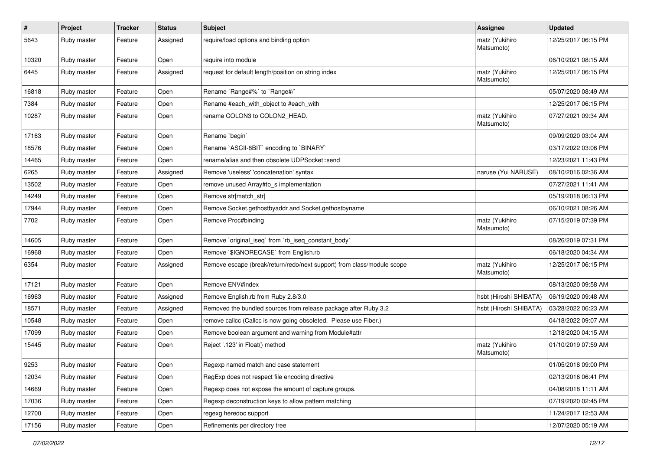| $\sharp$ | Project     | <b>Tracker</b> | <b>Status</b> | Subject                                                                | <b>Assignee</b>              | <b>Updated</b>      |
|----------|-------------|----------------|---------------|------------------------------------------------------------------------|------------------------------|---------------------|
| 5643     | Ruby master | Feature        | Assigned      | require/load options and binding option                                | matz (Yukihiro<br>Matsumoto) | 12/25/2017 06:15 PM |
| 10320    | Ruby master | Feature        | Open          | require into module                                                    |                              | 06/10/2021 08:15 AM |
| 6445     | Ruby master | Feature        | Assigned      | request for default length/position on string index                    | matz (Yukihiro<br>Matsumoto) | 12/25/2017 06:15 PM |
| 16818    | Ruby master | Feature        | Open          | Rename `Range#%` to `Range#/`                                          |                              | 05/07/2020 08:49 AM |
| 7384     | Ruby master | Feature        | Open          | Rename #each_with_object to #each_with                                 |                              | 12/25/2017 06:15 PM |
| 10287    | Ruby master | Feature        | Open          | rename COLON3 to COLON2 HEAD.                                          | matz (Yukihiro<br>Matsumoto) | 07/27/2021 09:34 AM |
| 17163    | Ruby master | Feature        | Open          | Rename `begin`                                                         |                              | 09/09/2020 03:04 AM |
| 18576    | Ruby master | Feature        | Open          | Rename `ASCII-8BIT` encoding to `BINARY`                               |                              | 03/17/2022 03:06 PM |
| 14465    | Ruby master | Feature        | Open          | rename/alias and then obsolete UDPSocket::send                         |                              | 12/23/2021 11:43 PM |
| 6265     | Ruby master | Feature        | Assigned      | Remove 'useless' 'concatenation' syntax                                | naruse (Yui NARUSE)          | 08/10/2016 02:36 AM |
| 13502    | Ruby master | Feature        | Open          | remove unused Array#to_s implementation                                |                              | 07/27/2021 11:41 AM |
| 14249    | Ruby master | Feature        | Open          | Remove str[match_str]                                                  |                              | 05/19/2018 06:13 PM |
| 17944    | Ruby master | Feature        | Open          | Remove Socket.gethostbyaddr and Socket.gethostbyname                   |                              | 06/10/2021 08:26 AM |
| 7702     | Ruby master | Feature        | Open          | Remove Proc#binding                                                    | matz (Yukihiro<br>Matsumoto) | 07/15/2019 07:39 PM |
| 14605    | Ruby master | Feature        | Open          | Remove `original iseg` from `rb iseg constant body`                    |                              | 08/26/2019 07:31 PM |
| 16968    | Ruby master | Feature        | Open          | Remove `\$IGNORECASE` from English.rb                                  |                              | 06/18/2020 04:34 AM |
| 6354     | Ruby master | Feature        | Assigned      | Remove escape (break/return/redo/next support) from class/module scope | matz (Yukihiro<br>Matsumoto) | 12/25/2017 06:15 PM |
| 17121    | Ruby master | Feature        | Open          | Remove ENV#index                                                       |                              | 08/13/2020 09:58 AM |
| 16963    | Ruby master | Feature        | Assigned      | Remove English.rb from Ruby 2.8/3.0                                    | hsbt (Hiroshi SHIBATA)       | 06/19/2020 09:48 AM |
| 18571    | Ruby master | Feature        | Assigned      | Removed the bundled sources from release package after Ruby 3.2        | hsbt (Hiroshi SHIBATA)       | 03/28/2022 06:23 AM |
| 10548    | Ruby master | Feature        | Open          | remove callcc (Callcc is now going obsoleted. Please use Fiber.)       |                              | 04/18/2022 09:07 AM |
| 17099    | Ruby master | Feature        | Open          | Remove boolean argument and warning from Module#attr                   |                              | 12/18/2020 04:15 AM |
| 15445    | Ruby master | Feature        | Open          | Reject '.123' in Float() method                                        | matz (Yukihiro<br>Matsumoto) | 01/10/2019 07:59 AM |
| 9253     | Ruby master | Feature        | Open          | Regexp named match and case statement                                  |                              | 01/05/2018 09:00 PM |
| 12034    | Ruby master | Feature        | Open          | RegExp does not respect file encoding directive                        |                              | 02/13/2016 06:41 PM |
| 14669    | Ruby master | Feature        | Open          | Regexp does not expose the amount of capture groups.                   |                              | 04/08/2018 11:11 AM |
| 17036    | Ruby master | Feature        | Open          | Regexp deconstruction keys to allow pattern matching                   |                              | 07/19/2020 02:45 PM |
| 12700    | Ruby master | Feature        | Open          | regexg heredoc support                                                 |                              | 11/24/2017 12:53 AM |
| 17156    | Ruby master | Feature        | Open          | Refinements per directory tree                                         |                              | 12/07/2020 05:19 AM |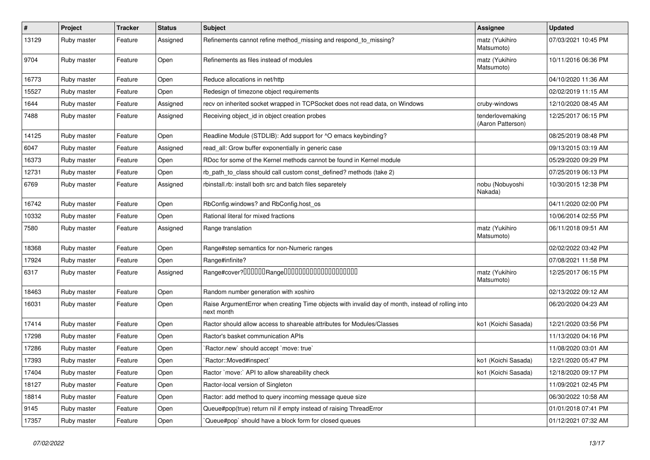| $\pmb{\#}$ | Project     | <b>Tracker</b> | <b>Status</b> | <b>Subject</b>                                                                                                  | <b>Assignee</b>                       | <b>Updated</b>      |
|------------|-------------|----------------|---------------|-----------------------------------------------------------------------------------------------------------------|---------------------------------------|---------------------|
| 13129      | Ruby master | Feature        | Assigned      | Refinements cannot refine method_missing and respond_to_missing?                                                | matz (Yukihiro<br>Matsumoto)          | 07/03/2021 10:45 PM |
| 9704       | Ruby master | Feature        | Open          | Refinements as files instead of modules                                                                         | matz (Yukihiro<br>Matsumoto)          | 10/11/2016 06:36 PM |
| 16773      | Ruby master | Feature        | Open          | Reduce allocations in net/http                                                                                  |                                       | 04/10/2020 11:36 AM |
| 15527      | Ruby master | Feature        | Open          | Redesign of timezone object requirements                                                                        |                                       | 02/02/2019 11:15 AM |
| 1644       | Ruby master | Feature        | Assigned      | recv on inherited socket wrapped in TCPSocket does not read data, on Windows                                    | cruby-windows                         | 12/10/2020 08:45 AM |
| 7488       | Ruby master | Feature        | Assigned      | Receiving object_id in object creation probes                                                                   | tenderlovemaking<br>(Aaron Patterson) | 12/25/2017 06:15 PM |
| 14125      | Ruby master | Feature        | Open          | Readline Module (STDLIB): Add support for ^O emacs keybinding?                                                  |                                       | 08/25/2019 08:48 PM |
| 6047       | Ruby master | Feature        | Assigned      | read_all: Grow buffer exponentially in generic case                                                             |                                       | 09/13/2015 03:19 AM |
| 16373      | Ruby master | Feature        | Open          | RDoc for some of the Kernel methods cannot be found in Kernel module                                            |                                       | 05/29/2020 09:29 PM |
| 12731      | Ruby master | Feature        | Open          | rb_path_to_class should call custom const_defined? methods (take 2)                                             |                                       | 07/25/2019 06:13 PM |
| 6769       | Ruby master | Feature        | Assigned      | rbinstall.rb: install both src and batch files separetely                                                       | nobu (Nobuyoshi<br>Nakada)            | 10/30/2015 12:38 PM |
| 16742      | Ruby master | Feature        | Open          | RbConfig.windows? and RbConfig.host_os                                                                          |                                       | 04/11/2020 02:00 PM |
| 10332      | Ruby master | Feature        | Open          | Rational literal for mixed fractions                                                                            |                                       | 10/06/2014 02:55 PM |
| 7580       | Ruby master | Feature        | Assigned      | Range translation                                                                                               | matz (Yukihiro<br>Matsumoto)          | 06/11/2018 09:51 AM |
| 18368      | Ruby master | Feature        | Open          | Range#step semantics for non-Numeric ranges                                                                     |                                       | 02/02/2022 03:42 PM |
| 17924      | Ruby master | Feature        | Open          | Range#infinite?                                                                                                 |                                       | 07/08/2021 11:58 PM |
| 6317       | Ruby master | Feature        | Assigned      | Range#cover?000000Range00000000000000000000                                                                     | matz (Yukihiro<br>Matsumoto)          | 12/25/2017 06:15 PM |
| 18463      | Ruby master | Feature        | Open          | Random number generation with xoshiro                                                                           |                                       | 02/13/2022 09:12 AM |
| 16031      | Ruby master | Feature        | Open          | Raise ArgumentError when creating Time objects with invalid day of month, instead of rolling into<br>next month |                                       | 06/20/2020 04:23 AM |
| 17414      | Ruby master | Feature        | Open          | Ractor should allow access to shareable attributes for Modules/Classes                                          | ko1 (Koichi Sasada)                   | 12/21/2020 03:56 PM |
| 17298      | Ruby master | Feature        | Open          | Ractor's basket communication APIs                                                                              |                                       | 11/13/2020 04:16 PM |
| 17286      | Ruby master | Feature        | Open          | 'Ractor.new' should accept 'move: true'                                                                         |                                       | 11/08/2020 03:01 AM |
| 17393      | Ruby master | Feature        | Open          | 'Ractor::Moved#inspect'                                                                                         | ko1 (Koichi Sasada)                   | 12/21/2020 05:47 PM |
| 17404      | Ruby master | Feature        | Open          | Ractor `move:` API to allow shareability check                                                                  | ko1 (Koichi Sasada)                   | 12/18/2020 09:17 PM |
| 18127      | Ruby master | Feature        | Open          | Ractor-local version of Singleton                                                                               |                                       | 11/09/2021 02:45 PM |
| 18814      | Ruby master | Feature        | Open          | Ractor: add method to query incoming message queue size                                                         |                                       | 06/30/2022 10:58 AM |
| 9145       | Ruby master | Feature        | Open          | Queue#pop(true) return nil if empty instead of raising ThreadError                                              |                                       | 01/01/2018 07:41 PM |
| 17357      | Ruby master | Feature        | Open          | Queue#pop`should have a block form for closed queues                                                            |                                       | 01/12/2021 07:32 AM |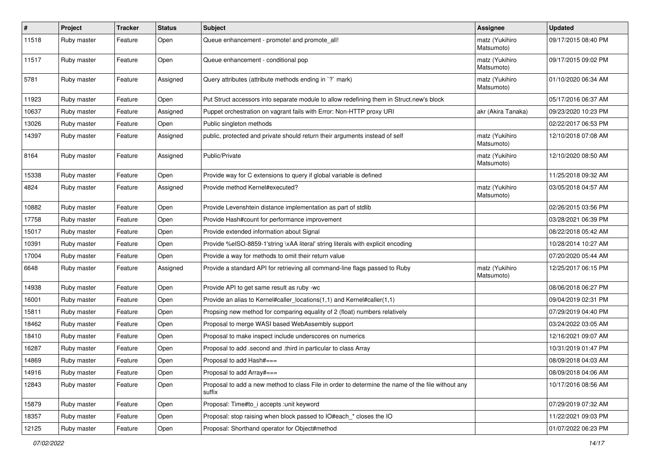| $\vert$ # | Project     | <b>Tracker</b> | <b>Status</b> | <b>Subject</b>                                                                                              | <b>Assignee</b>              | <b>Updated</b>      |
|-----------|-------------|----------------|---------------|-------------------------------------------------------------------------------------------------------------|------------------------------|---------------------|
| 11518     | Ruby master | Feature        | Open          | Queue enhancement - promote! and promote_all!                                                               | matz (Yukihiro<br>Matsumoto) | 09/17/2015 08:40 PM |
| 11517     | Ruby master | Feature        | Open          | Queue enhancement - conditional pop                                                                         | matz (Yukihiro<br>Matsumoto) | 09/17/2015 09:02 PM |
| 5781      | Ruby master | Feature        | Assigned      | Query attributes (attribute methods ending in `?` mark)                                                     | matz (Yukihiro<br>Matsumoto) | 01/10/2020 06:34 AM |
| 11923     | Ruby master | Feature        | Open          | Put Struct accessors into separate module to allow redefining them in Struct.new's block                    |                              | 05/17/2016 06:37 AM |
| 10637     | Ruby master | Feature        | Assigned      | Puppet orchestration on vagrant fails with Error: Non-HTTP proxy URI                                        | akr (Akira Tanaka)           | 09/23/2020 10:23 PM |
| 13026     | Ruby master | Feature        | Open          | Public singleton methods                                                                                    |                              | 02/22/2017 06:53 PM |
| 14397     | Ruby master | Feature        | Assigned      | public, protected and private should return their arguments instead of self                                 | matz (Yukihiro<br>Matsumoto) | 12/10/2018 07:08 AM |
| 8164      | Ruby master | Feature        | Assigned      | Public/Private                                                                                              | matz (Yukihiro<br>Matsumoto) | 12/10/2020 08:50 AM |
| 15338     | Ruby master | Feature        | Open          | Provide way for C extensions to query if global variable is defined                                         |                              | 11/25/2018 09:32 AM |
| 4824      | Ruby master | Feature        | Assigned      | Provide method Kernel#executed?                                                                             | matz (Yukihiro<br>Matsumoto) | 03/05/2018 04:57 AM |
| 10882     | Ruby master | Feature        | Open          | Provide Levenshtein distance implementation as part of stdlib                                               |                              | 02/26/2015 03:56 PM |
| 17758     | Ruby master | Feature        | Open          | Provide Hash#count for performance improvement                                                              |                              | 03/28/2021 06:39 PM |
| 15017     | Ruby master | Feature        | Open          | Provide extended information about Signal                                                                   |                              | 08/22/2018 05:42 AM |
| 10391     | Ruby master | Feature        | Open          | Provide %eISO-8859-1'string \xAA literal' string literals with explicit encoding                            |                              | 10/28/2014 10:27 AM |
| 17004     | Ruby master | Feature        | Open          | Provide a way for methods to omit their return value                                                        |                              | 07/20/2020 05:44 AM |
| 6648      | Ruby master | Feature        | Assigned      | Provide a standard API for retrieving all command-line flags passed to Ruby                                 | matz (Yukihiro<br>Matsumoto) | 12/25/2017 06:15 PM |
| 14938     | Ruby master | Feature        | Open          | Provide API to get same result as ruby -wc                                                                  |                              | 08/06/2018 06:27 PM |
| 16001     | Ruby master | Feature        | Open          | Provide an alias to Kernel#caller_locations(1,1) and Kernel#caller(1,1)                                     |                              | 09/04/2019 02:31 PM |
| 15811     | Ruby master | Feature        | Open          | Propsing new method for comparing equality of 2 (float) numbers relatively                                  |                              | 07/29/2019 04:40 PM |
| 18462     | Ruby master | Feature        | Open          | Proposal to merge WASI based WebAssembly support                                                            |                              | 03/24/2022 03:05 AM |
| 18410     | Ruby master | Feature        | Open          | Proposal to make inspect include underscores on numerics                                                    |                              | 12/16/2021 09:07 AM |
| 16287     | Ruby master | Feature        | Open          | Proposal to add .second and .third in particular to class Array                                             |                              | 10/31/2019 01:47 PM |
| 14869     | Ruby master | Feature        | Open          | Proposal to add Hash#===                                                                                    |                              | 08/09/2018 04:03 AM |
| 14916     | Ruby master | Feature        | Open          | Proposal to add Array#===                                                                                   |                              | 08/09/2018 04:06 AM |
| 12843     | Ruby master | Feature        | Open          | Proposal to add a new method to class File in order to determine the name of the file without any<br>suffix |                              | 10/17/2016 08:56 AM |
| 15879     | Ruby master | Feature        | Open          | Proposal: Time#to_i accepts :unit keyword                                                                   |                              | 07/29/2019 07:32 AM |
| 18357     | Ruby master | Feature        | Open          | Proposal: stop raising when block passed to IO#each_* closes the IO                                         |                              | 11/22/2021 09:03 PM |
| 12125     | Ruby master | Feature        | Open          | Proposal: Shorthand operator for Object#method                                                              |                              | 01/07/2022 06:23 PM |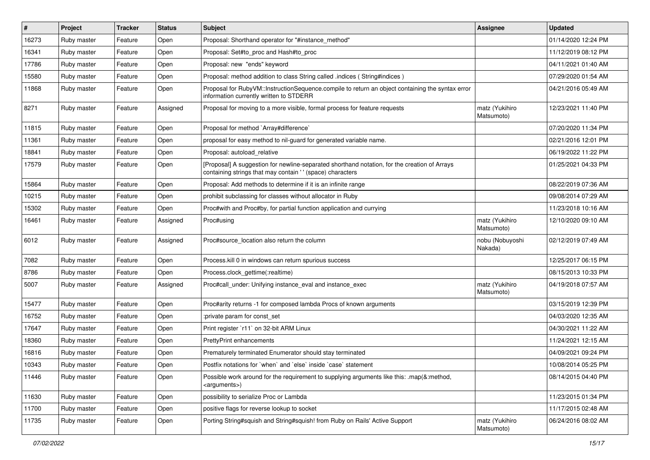| #     | Project     | <b>Tracker</b> | <b>Status</b> | <b>Subject</b>                                                                                                                                            | <b>Assignee</b>              | <b>Updated</b>      |
|-------|-------------|----------------|---------------|-----------------------------------------------------------------------------------------------------------------------------------------------------------|------------------------------|---------------------|
| 16273 | Ruby master | Feature        | Open          | Proposal: Shorthand operator for "#instance_method"                                                                                                       |                              | 01/14/2020 12:24 PM |
| 16341 | Ruby master | Feature        | Open          | Proposal: Set#to_proc and Hash#to_proc                                                                                                                    |                              | 11/12/2019 08:12 PM |
| 17786 | Ruby master | Feature        | Open          | Proposal: new "ends" keyword                                                                                                                              |                              | 04/11/2021 01:40 AM |
| 15580 | Ruby master | Feature        | Open          | Proposal: method addition to class String called .indices (String#indices)                                                                                |                              | 07/29/2020 01:54 AM |
| 11868 | Ruby master | Feature        | Open          | Proposal for RubyVM::InstructionSequence.compile to return an object containing the syntax error<br>information currently written to STDERR               |                              | 04/21/2016 05:49 AM |
| 8271  | Ruby master | Feature        | Assigned      | Proposal for moving to a more visible, formal process for feature requests                                                                                | matz (Yukihiro<br>Matsumoto) | 12/23/2021 11:40 PM |
| 11815 | Ruby master | Feature        | Open          | Proposal for method `Array#difference`                                                                                                                    |                              | 07/20/2020 11:34 PM |
| 11361 | Ruby master | Feature        | Open          | proposal for easy method to nil-guard for generated variable name.                                                                                        |                              | 02/21/2016 12:01 PM |
| 18841 | Ruby master | Feature        | Open          | Proposal: autoload relative                                                                                                                               |                              | 06/19/2022 11:22 PM |
| 17579 | Ruby master | Feature        | Open          | [Proposal] A suggestion for newline-separated shorthand notation, for the creation of Arrays<br>containing strings that may contain '' (space) characters |                              | 01/25/2021 04:33 PM |
| 15864 | Ruby master | Feature        | Open          | Proposal: Add methods to determine if it is an infinite range                                                                                             |                              | 08/22/2019 07:36 AM |
| 10215 | Ruby master | Feature        | Open          | prohibit subclassing for classes without allocator in Ruby                                                                                                |                              | 09/08/2014 07:29 AM |
| 15302 | Ruby master | Feature        | Open          | Proc#with and Proc#by, for partial function application and currying                                                                                      |                              | 11/23/2018 10:16 AM |
| 16461 | Ruby master | Feature        | Assigned      | Proc#using                                                                                                                                                | matz (Yukihiro<br>Matsumoto) | 12/10/2020 09:10 AM |
| 6012  | Ruby master | Feature        | Assigned      | Proc#source location also return the column                                                                                                               | nobu (Nobuyoshi<br>Nakada)   | 02/12/2019 07:49 AM |
| 7082  | Ruby master | Feature        | Open          | Process.kill 0 in windows can return spurious success                                                                                                     |                              | 12/25/2017 06:15 PM |
| 8786  | Ruby master | Feature        | Open          | Process.clock_gettime(:realtime)                                                                                                                          |                              | 08/15/2013 10:33 PM |
| 5007  | Ruby master | Feature        | Assigned      | Proc#call_under: Unifying instance_eval and instance_exec                                                                                                 | matz (Yukihiro<br>Matsumoto) | 04/19/2018 07:57 AM |
| 15477 | Ruby master | Feature        | Open          | Proc#arity returns -1 for composed lambda Procs of known arguments                                                                                        |                              | 03/15/2019 12:39 PM |
| 16752 | Ruby master | Feature        | Open          | :private param for const_set                                                                                                                              |                              | 04/03/2020 12:35 AM |
| 17647 | Ruby master | Feature        | Open          | Print register `r11` on 32-bit ARM Linux                                                                                                                  |                              | 04/30/2021 11:22 AM |
| 18360 | Ruby master | Feature        | Open          | PrettyPrint enhancements                                                                                                                                  |                              | 11/24/2021 12:15 AM |
| 16816 | Ruby master | Feature        | Open          | Prematurely terminated Enumerator should stay terminated                                                                                                  |                              | 04/09/2021 09:24 PM |
| 10343 | Ruby master | Feature        | Open          | Postfix notations for `when` and `else` inside `case` statement                                                                                           |                              | 10/08/2014 05:25 PM |
| 11446 | Ruby master | Feature        | Open          | Possible work around for the requirement to supplying arguments like this: .map(&:method,<br><arguments>)</arguments>                                     |                              | 08/14/2015 04:40 PM |
| 11630 | Ruby master | Feature        | Open          | possibility to serialize Proc or Lambda                                                                                                                   |                              | 11/23/2015 01:34 PM |
| 11700 | Ruby master | Feature        | Open          | positive flags for reverse lookup to socket                                                                                                               |                              | 11/17/2015 02:48 AM |
| 11735 | Ruby master | Feature        | Open          | Porting String#squish and String#squish! from Ruby on Rails' Active Support                                                                               | matz (Yukihiro<br>Matsumoto) | 06/24/2016 08:02 AM |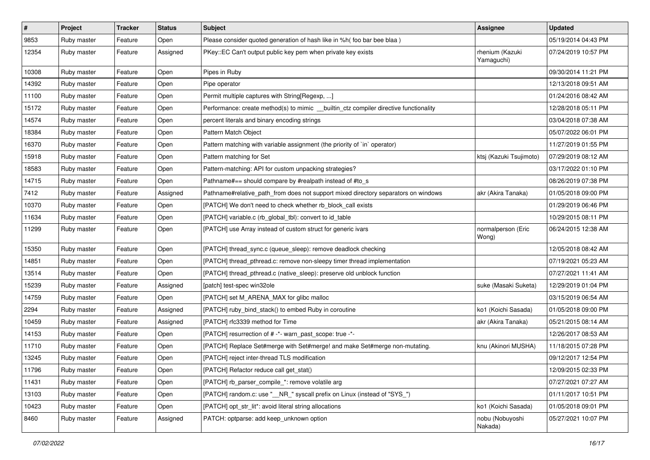| $\vert$ # | Project     | <b>Tracker</b> | <b>Status</b> | <b>Subject</b>                                                                        | Assignee                      | <b>Updated</b>      |
|-----------|-------------|----------------|---------------|---------------------------------------------------------------------------------------|-------------------------------|---------------------|
| 9853      | Ruby master | Feature        | Open          | Please consider quoted generation of hash like in %h( foo bar bee blaa )              |                               | 05/19/2014 04:43 PM |
| 12354     | Ruby master | Feature        | Assigned      | PKey::EC Can't output public key pem when private key exists                          | rhenium (Kazuki<br>Yamaguchi) | 07/24/2019 10:57 PM |
| 10308     | Ruby master | Feature        | Open          | Pipes in Ruby                                                                         |                               | 09/30/2014 11:21 PM |
| 14392     | Ruby master | Feature        | Open          | Pipe operator                                                                         |                               | 12/13/2018 09:51 AM |
| 11100     | Ruby master | Feature        | Open          | Permit multiple captures with String[Regexp, ]                                        |                               | 01/24/2016 08:42 AM |
| 15172     | Ruby master | Feature        | Open          | Performance: create method(s) to mimic __builtin_ctz compiler directive functionality |                               | 12/28/2018 05:11 PM |
| 14574     | Ruby master | Feature        | Open          | percent literals and binary encoding strings                                          |                               | 03/04/2018 07:38 AM |
| 18384     | Ruby master | Feature        | Open          | Pattern Match Object                                                                  |                               | 05/07/2022 06:01 PM |
| 16370     | Ruby master | Feature        | Open          | Pattern matching with variable assignment (the priority of `in` operator)             |                               | 11/27/2019 01:55 PM |
| 15918     | Ruby master | Feature        | Open          | Pattern matching for Set                                                              | ktsj (Kazuki Tsujimoto)       | 07/29/2019 08:12 AM |
| 18583     | Ruby master | Feature        | Open          | Pattern-matching: API for custom unpacking strategies?                                |                               | 03/17/2022 01:10 PM |
| 14715     | Ruby master | Feature        | Open          | Pathname#== should compare by #realpath instead of #to_s                              |                               | 08/26/2019 07:38 PM |
| 7412      | Ruby master | Feature        | Assigned      | Pathname#relative_path_from does not support mixed directory separators on windows    | akr (Akira Tanaka)            | 01/05/2018 09:00 PM |
| 10370     | Ruby master | Feature        | Open          | [PATCH] We don't need to check whether rb_block_call exists                           |                               | 01/29/2019 06:46 PM |
| 11634     | Ruby master | Feature        | Open          | [PATCH] variable.c (rb_global_tbl): convert to id_table                               |                               | 10/29/2015 08:11 PM |
| 11299     | Ruby master | Feature        | Open          | [PATCH] use Array instead of custom struct for generic ivars                          | normalperson (Eric<br>Wong)   | 06/24/2015 12:38 AM |
| 15350     | Ruby master | Feature        | Open          | [PATCH] thread_sync.c (queue_sleep): remove deadlock checking                         |                               | 12/05/2018 08:42 AM |
| 14851     | Ruby master | Feature        | Open          | [PATCH] thread_pthread.c: remove non-sleepy timer thread implementation               |                               | 07/19/2021 05:23 AM |
| 13514     | Ruby master | Feature        | Open          | [PATCH] thread_pthread.c (native_sleep): preserve old unblock function                |                               | 07/27/2021 11:41 AM |
| 15239     | Ruby master | Feature        | Assigned      | [patch] test-spec win32ole                                                            | suke (Masaki Suketa)          | 12/29/2019 01:04 PM |
| 14759     | Ruby master | Feature        | Open          | [PATCH] set M_ARENA_MAX for glibc malloc                                              |                               | 03/15/2019 06:54 AM |
| 2294      | Ruby master | Feature        | Assigned      | [PATCH] ruby_bind_stack() to embed Ruby in coroutine                                  | ko1 (Koichi Sasada)           | 01/05/2018 09:00 PM |
| 10459     | Ruby master | Feature        | Assigned      | [PATCH] rfc3339 method for Time                                                       | akr (Akira Tanaka)            | 05/21/2015 08:14 AM |
| 14153     | Ruby master | Feature        | Open          | [PATCH] resurrection of # -*- warn_past_scope: true -*-                               |                               | 12/26/2017 08:53 AM |
| 11710     | Ruby master | Feature        | Open          | [PATCH] Replace Set#merge with Set#merge! and make Set#merge non-mutating.            | knu (Akinori MUSHA)           | 11/18/2015 07:28 PM |
| 13245     | Ruby master | Feature        | Open          | [PATCH] reject inter-thread TLS modification                                          |                               | 09/12/2017 12:54 PM |
| 11796     | Ruby master | Feature        | Open          | [PATCH] Refactor reduce call get_stat()                                               |                               | 12/09/2015 02:33 PM |
| 11431     | Ruby master | Feature        | Open          | [PATCH] rb_parser_compile_*: remove volatile arg                                      |                               | 07/27/2021 07:27 AM |
| 13103     | Ruby master | Feature        | Open          | [PATCH] random.c: use "__NR_" syscall prefix on Linux (instead of "SYS_")             |                               | 01/11/2017 10:51 PM |
| 10423     | Ruby master | Feature        | Open          | [PATCH] opt str lit*: avoid literal string allocations                                | ko1 (Koichi Sasada)           | 01/05/2018 09:01 PM |
| 8460      | Ruby master | Feature        | Assigned      | PATCH: optparse: add keep_unknown option                                              | nobu (Nobuyoshi<br>Nakada)    | 05/27/2021 10:07 PM |